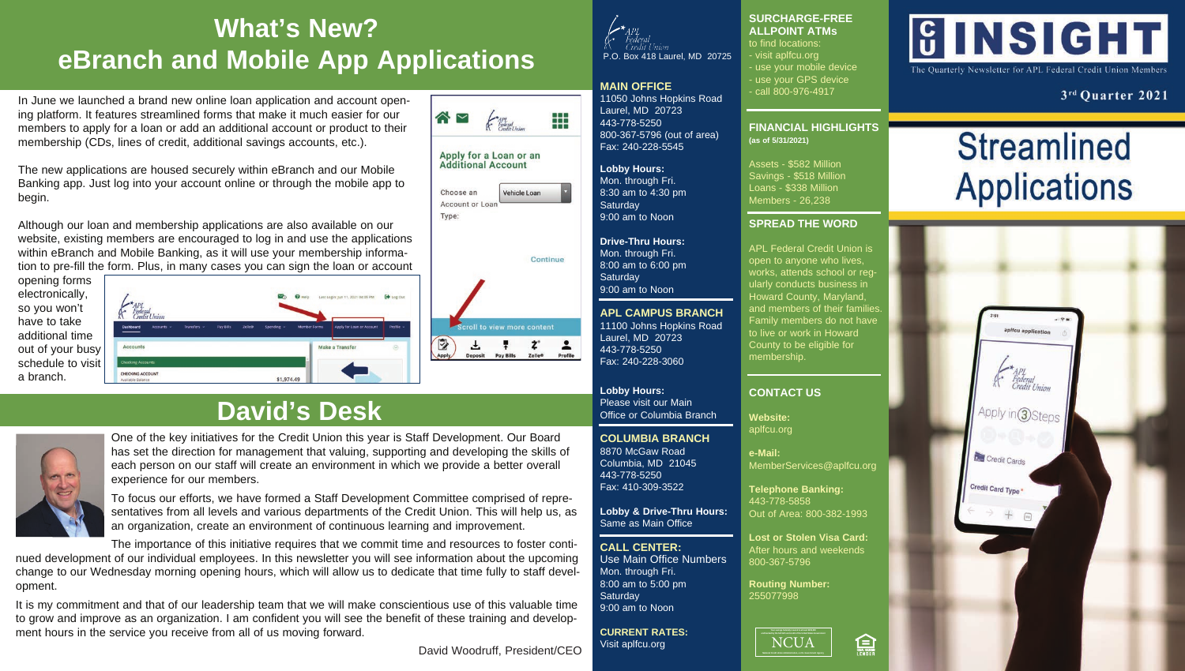## **What's New? eBranch and Mobile App Applications**

In June we launched a brand new online loan application and account opening platform. It features streamlined forms that make it much easier for our members to apply for a loan or add an additional account or product to their membership (CDs, lines of credit, additional savings accounts, etc.).

The new applications are housed securely within eBranch and our Mobile Banking app. Just log into your account online or through the mobile app to begin.

Although our loan and membership applications are also available on our website, existing members are encouraged to log in and use the applications within eBranch and Mobile Banking, as it will use your membership information to pre-fill the form. Plus, in many cases you can sign the loan or account



Min: No. 11, 2021 04:05 PM Accounts Make a Transfe CHECKING ACCOUNT \$1,974.49 alfable Balance

## **David's Desk**



One of the key initiatives for the Credit Union this year is Staff Development. Our Board has set the direction for management that valuing, supporting and developing the skills of each person on our staff will create an environment in which we provide a better overall experience for our members.

To focus our efforts, we have formed a Staff Development Committee comprised of representatives from all levels and various departments of the Credit Union. This will help us, as an organization, create an environment of continuous learning and improvement.

The importance of this initiative requires that we commit time and resources to foster conti-

nued development of our individual employees. In this newsletter you will see information about the upcoming change to our Wednesday morning opening hours, which will allow us to dedicate that time fully to staff development.

It is my commitment and that of our leadership team that we will make conscientious use of this valuable time to grow and improve as an organization. I am confident you will see the benefit of these training and development hours in the service you receive from all of us moving forward.

David Woodruff, President/CEO

 $\triangle$   $\triangleright$ 

Choose an

Type:

D

Apply,

Ŧ

Deposit

Account or Loan

Apply for a Loan or an **Additional Account** 

Vehicle Loan

**Scroll to view more content** 

Pay Bills

Continue

 $\mathbf{z}^*$ 

**Zelle®** 

 $\overline{\phantom{a}}$ 

Profile



## **MAIN OFFICE**

₩

11050 Johns Hopkins Road Laurel, MD 20723 443-778-5250 800-367-5796 (out of area) Fax: 240-228-5545

**Lobby Hours:**  Mon. through Fri. 8:30 am to 4:30 pm **Saturday** 9:00 am to Noon

**Drive-Thru Hours:** Mon. through Fri. 8:00 am to 6:00 pm **Saturday** 9:00 am to Noon

**APL CAMPUS BRANCH** 11100 Johns Hopkins Road Laurel, MD 20723 443-778-5250 Fax: 240-228-3060

**Lobby Hours:** Please visit our Main Office or Columbia Branch

## **COLUMBIA BRANCH**

8870 McGaw Road Columbia, MD 21045 443-778-5250 Fax: 410-309-3522

**Lobby & Drive-Thru Hours:** Same as Main Office

**CALL CENTER:** Use Main Office Numbers Mon. through Fri. 8:00 am to 5:00 pm **Saturday** 9:00 am to Noon

**CURRENT RATES:** Visit aplfcu.org

### **SURCHARGE-FREE ALLPOINT ATMs**

to find locations:

- visit aplfcu.org use your mobile device - use your GPS device - call 800-976-4917

**FINANCIAL HIGHLIGHTS (as of 5/31/2021)**

Assets - \$582 Million Savings - \$518 Million Loans - \$338 Million Members - 26,238

### **SPREAD THE WORD**

APL Federal Credit Union is open to anyone who lives, works, attends school or regularly conducts business in Howard County, Maryland, and members of their familie Family members do not have to live or work in Howard County to be eligible for membership.

## **CONTACT US**

**Website:** aplfcu.org

**e-Mail:** MemberServices@aplfcu.org

**Telephone Banking:** 443-778-5858 Out of Area: 800-382-1993

**Lost or Stolen Visa Card:** After hours and weekends 800-367-5796

**Routing Number:** 255077998



ENDER

# **GINSIGHT**

The Quarterly Newsletter for APL Federal Credit Union Members

3rd Quarter 2021

# **Streamlined Applications**